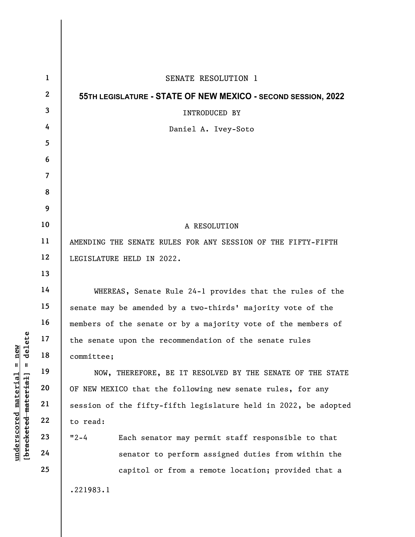| $\mathbf{1}$            | SENATE RESOLUTION 1                                             |
|-------------------------|-----------------------------------------------------------------|
| $\mathbf{2}$            | 55TH LEGISLATURE - STATE OF NEW MEXICO - SECOND SESSION, 2022   |
| 3                       | <b>INTRODUCED BY</b>                                            |
| 4                       | Daniel A. Ivey-Soto                                             |
| 5                       |                                                                 |
| 6                       |                                                                 |
| $\overline{\mathbf{7}}$ |                                                                 |
| 8                       |                                                                 |
| 9                       |                                                                 |
| 10                      | A RESOLUTION                                                    |
| 11                      | AMENDING THE SENATE RULES FOR ANY SESSION OF THE FIFTY-FIFTH    |
| 12                      | LEGISLATURE HELD IN 2022.                                       |
| 13                      |                                                                 |
| 14                      | WHEREAS, Senate Rule 24-1 provides that the rules of the        |
| 15                      | senate may be amended by a two-thirds' majority vote of the     |
| 16                      | members of the senate or by a majority vote of the members of   |
| 17                      | the senate upon the recommendation of the senate rules          |
| 18                      | committee;                                                      |
| 19                      | NOW, THEREFORE, BE IT RESOLVED BY THE SENATE OF THE STATE       |
| 20                      | OF NEW MEXICO that the following new senate rules, for any      |
| 21                      | session of the fifty-fifth legislature held in 2022, be adopted |
| 22                      | to read:                                                        |
| 23                      | $12 - 4$<br>Each senator may permit staff responsible to that   |
| 24                      | senator to perform assigned duties from within the              |
| 25                      | capitol or from a remote location; provided that a              |
|                         | .221983.1                                                       |
|                         |                                                                 |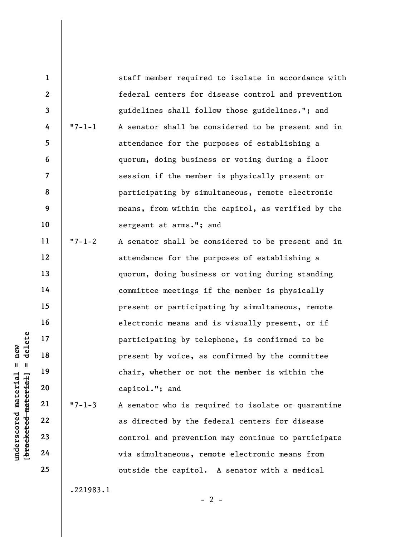underscored material material material present by<br>  $\begin{array}{ccc}\n\text{equation: } & \text{if } 19 \\
\text{equation: } & \text{if } 19 \\
\text{equation: } & \text{if } 20 \\
\text{equation: } & \text{if } 22 \\
\text{equation: } & \text{if } 24 \\
\end{array}$ 1 2 3 4 5 6 7 8 9 10 11 12 13 14 15 16 17 18 19 20 21 22 23 24 25 staff member required to isolate in accordance with federal centers for disease control and prevention guidelines shall follow those guidelines."; and "7-1-1 A senator shall be considered to be present and in attendance for the purposes of establishing a quorum, doing business or voting during a floor session if the member is physically present or participating by simultaneous, remote electronic means, from within the capitol, as verified by the sergeant at arms."; and "7-1-2 A senator shall be considered to be present and in attendance for the purposes of establishing a quorum, doing business or voting during standing committee meetings if the member is physically present or participating by simultaneous, remote electronic means and is visually present, or if participating by telephone, is confirmed to be present by voice, as confirmed by the committee chair, whether or not the member is within the capitol."; and "7-1-3 A senator who is required to isolate or quarantine as directed by the federal centers for disease control and prevention may continue to participate via simultaneous, remote electronic means from outside the capitol. A senator with a medical

.221983.1

 $- 2 -$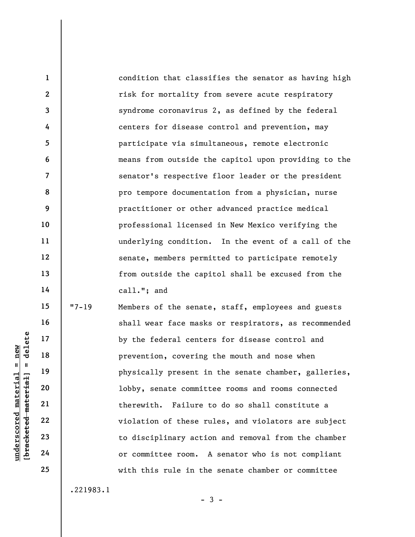condition that classifies the senator as having high risk for mortality from severe acute respiratory syndrome coronavirus 2, as defined by the federal centers for disease control and prevention, may participate via simultaneous, remote electronic means from outside the capitol upon providing to the senator's respective floor leader or the president pro tempore documentation from a physician, nurse practitioner or other advanced practice medical professional licensed in New Mexico verifying the underlying condition. In the event of a call of the senate, members permitted to participate remotely from outside the capitol shall be excused from the call."; and

underscored material material material material material of the set of committed material corrections of committed the correction of committed the correction of committed to discipling the contract of committed and contrac 15 16 17 18 19 20 21 22 23 24 25 "7-19 Members of the senate, staff, employees and guests shall wear face masks or respirators, as recommended by the federal centers for disease control and prevention, covering the mouth and nose when physically present in the senate chamber, galleries, lobby, senate committee rooms and rooms connected therewith. Failure to do so shall constitute a violation of these rules, and violators are subject to disciplinary action and removal from the chamber or committee room. A senator who is not compliant with this rule in the senate chamber or committee

.221983.1

1

2

3

4

5

6

7

8

9

10

11

12

13

14

 $-3 -$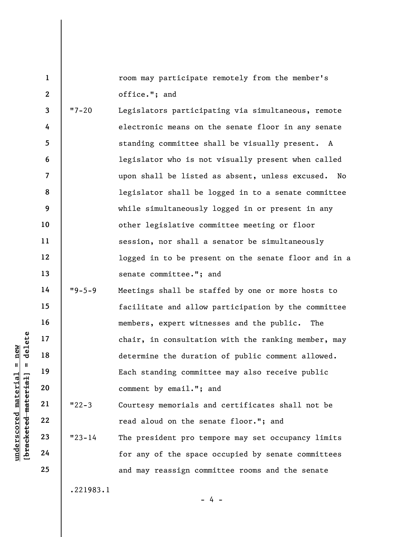room may participate remotely from the member's office."; and

3 4 5 6 7 8 9 10 11 12 13 14 "7-20 Legislators participating via simultaneous, remote electronic means on the senate floor in any senate standing committee shall be visually present. A legislator who is not visually present when called upon shall be listed as absent, unless excused. No legislator shall be logged in to a senate committee while simultaneously logged in or present in any other legislative committee meeting or floor session, nor shall a senator be simultaneously logged in to be present on the senate floor and in a senate committee."; and "9-5-9 Meetings shall be staffed by one or more hosts to

underscored material material speech of the speech of the speech of the speech of the speech of the speech of the speech of the speech of the speech of the speech of the speech of the speech of the speech of the speech of 15 16 17 18 19 20 21 22 facilitate and allow participation by the committee members, expert witnesses and the public. The chair, in consultation with the ranking member, may determine the duration of public comment allowed. Each standing committee may also receive public comment by email."; and "22-3 Courtesy memorials and certificates shall not be read aloud on the senate floor."; and

"23-14 The president pro tempore may set occupancy limits for any of the space occupied by senate committees and may reassign committee rooms and the senate

.221983.1

- 4 -

23

24

25

1

2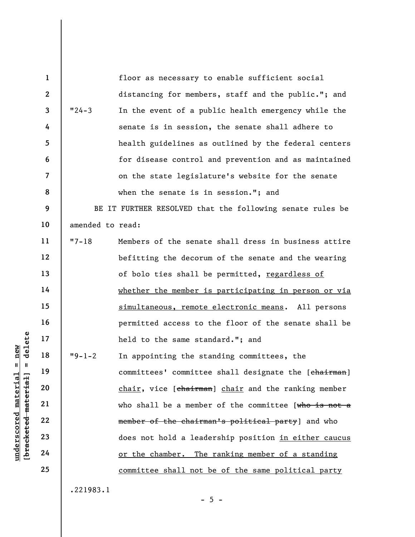underscored material material material material material species of the committees of the control material material material control member of the change of the change of the change of  $\frac{1}{2}$  and  $\frac{1}{2}$  and  $\frac{1}{2}$ 1 2 3 4 5 6 7 8 9 10 11 12 13 14 15 16 17 18 19 20 21 22 23 24 25 floor as necessary to enable sufficient social distancing for members, staff and the public."; and "24-3 In the event of a public health emergency while the senate is in session, the senate shall adhere to health guidelines as outlined by the federal centers for disease control and prevention and as maintained on the state legislature's website for the senate when the senate is in session."; and BE IT FURTHER RESOLVED that the following senate rules be amended to read: "7-18 Members of the senate shall dress in business attire befitting the decorum of the senate and the wearing of bolo ties shall be permitted, regardless of whether the member is participating in person or via simultaneous, remote electronic means. All persons permitted access to the floor of the senate shall be held to the same standard."; and "9-1-2 In appointing the standing committees, the committees' committee shall designate the [chairman] chair, vice [chairman] chair and the ranking member who shall be a member of the committee [who is not a member of the chairman's political party] and who does not hold a leadership position in either caucus or the chamber. The ranking member of a standing committee shall not be of the same political party

.221983.1

 $- 5 -$